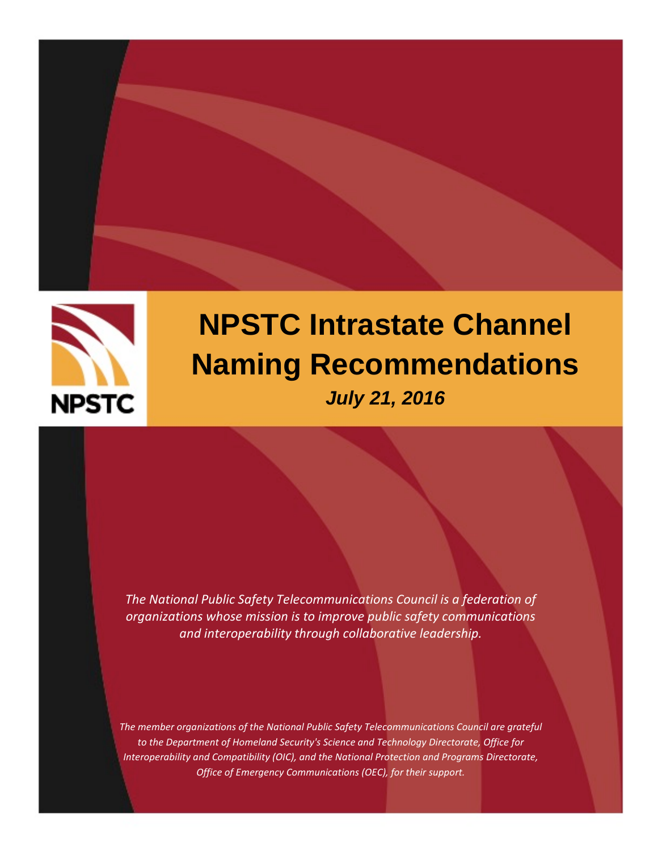



# **NPSTC Intrastate Channel Naming Recommendations** *July 21, 2016*

*The National Public Safety Telecommunications Council is a federation of organizations whose mission is to improve public safety communications and interoperability through collaborative leadership.*

*The member organizations of the National Public Safety Telecommunications Council are grateful to the Department of Homeland Security's Science and Technology Directorate, Office for Interoperability and Compatibility (OIC), and the National Protection and Programs Directorate, Office of Emergency Communications (OEC), for their support.*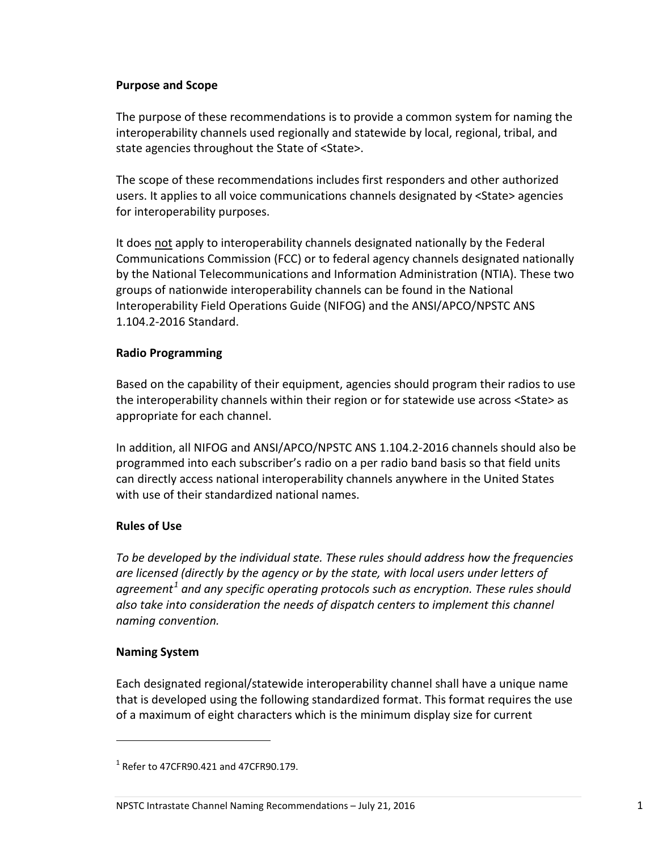# <span id="page-2-0"></span>**Purpose and Scope**

The purpose of these recommendations is to provide a common system for naming the interoperability channels used regionally and statewide by local, regional, tribal, and state agencies throughout the State of <State>.

The scope of these recommendations includes first responders and other authorized users. It applies to all voice communications channels designated by <State> agencies for interoperability purposes.

It does not apply to interoperability channels designated nationally by the Federal Communications Commission (FCC) or to federal agency channels designated nationally by the National Telecommunications and Information Administration (NTIA). These two groups of nationwide interoperability channels can be found in the National Interoperability Field Operations Guide (NIFOG) and the ANSI/APCO/NPSTC ANS 1.104.2-2016 Standard.

# <span id="page-2-1"></span>**Radio Programming**

Based on the capability of their equipment, agencies should program their radios to use the interoperability channels within their region or for statewide use across <State> as appropriate for each channel.

In addition, all NIFOG and ANSI/APCO/NPSTC ANS 1.104.2-2016 channels should also be programmed into each subscriber's radio on a per radio band basis so that field units can directly access national interoperability channels anywhere in the United States with use of their standardized national names.

# <span id="page-2-2"></span>**Rules of Use**

*To be developed by the individual state. These rules should address how the frequencies are licensed (directly by the agency or by the state, with local users under letters of agreement[1](#page-2-4) and any specific operating protocols such as encryption. These rules should*  also take into consideration the needs of dispatch centers to implement this channel *naming convention.*

# <span id="page-2-3"></span>**Naming System**

l

Each designated regional/statewide interoperability channel shall have a unique name that is developed using the following standardized format. This format requires the use of a maximum of eight characters which is the minimum display size for current

<span id="page-2-4"></span> $1$  Refer to 47CFR90.421 and 47CFR90.179.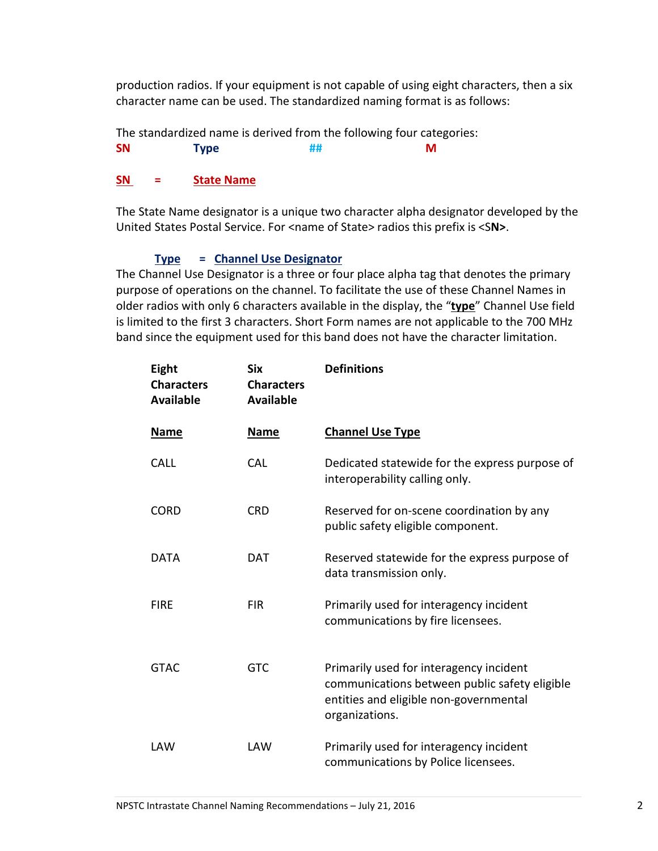production radios. If your equipment is not capable of using eight characters, then a six character name can be used. The standardized naming format is as follows:

The standardized name is derived from the following four categories:

**SN Type ## M**

# **SN = State Name**

The State Name designator is a unique two character alpha designator developed by the United States Postal Service. For <name of State> radios this prefix is <S**N>**.

# **Type = Channel Use Designator**

The Channel Use Designator is a three or four place alpha tag that denotes the primary purpose of operations on the channel. To facilitate the use of these Channel Names in older radios with only 6 characters available in the display, the "**type**" Channel Use field is limited to the first 3 characters. Short Form names are not applicable to the 700 MHz band since the equipment used for this band does not have the character limitation.

| Eight<br><b>Characters</b><br><b>Available</b> | <b>Six</b><br><b>Characters</b><br><b>Available</b> | <b>Definitions</b>                                                                                                                                   |
|------------------------------------------------|-----------------------------------------------------|------------------------------------------------------------------------------------------------------------------------------------------------------|
| <b>Name</b>                                    | <b>Name</b>                                         | <b>Channel Use Type</b>                                                                                                                              |
| <b>CALL</b>                                    | <b>CAL</b>                                          | Dedicated statewide for the express purpose of<br>interoperability calling only.                                                                     |
| <b>CORD</b>                                    | <b>CRD</b>                                          | Reserved for on-scene coordination by any<br>public safety eligible component.                                                                       |
| <b>DATA</b>                                    | <b>DAT</b>                                          | Reserved statewide for the express purpose of<br>data transmission only.                                                                             |
| <b>FIRE</b>                                    | <b>FIR</b>                                          | Primarily used for interagency incident<br>communications by fire licensees.                                                                         |
| <b>GTAC</b>                                    | <b>GTC</b>                                          | Primarily used for interagency incident<br>communications between public safety eligible<br>entities and eligible non-governmental<br>organizations. |
| LAW                                            | LAW                                                 | Primarily used for interagency incident<br>communications by Police licensees.                                                                       |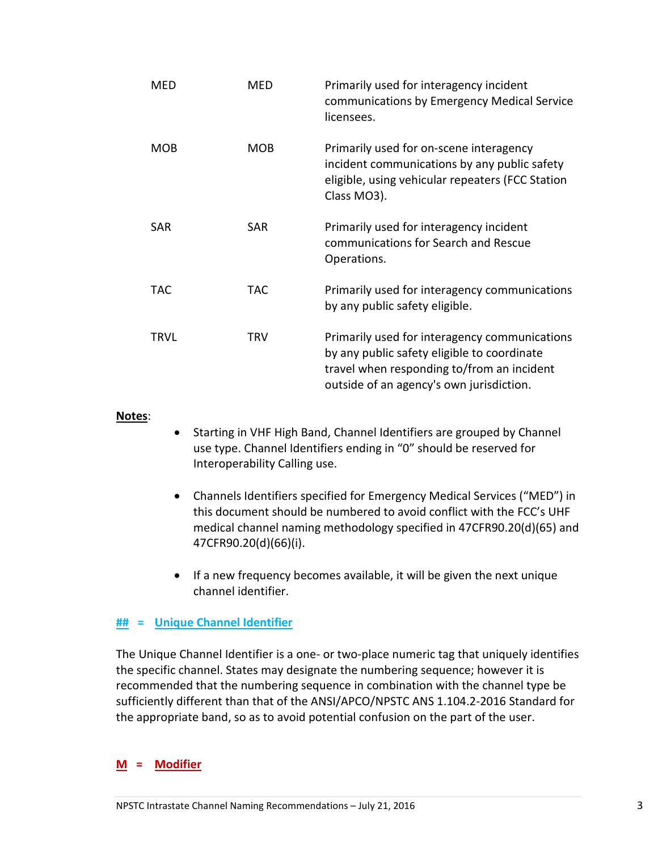| <b>MED</b> | MED        | Primarily used for interagency incident<br>communications by Emergency Medical Service<br>licensees.                                                                                   |
|------------|------------|----------------------------------------------------------------------------------------------------------------------------------------------------------------------------------------|
| <b>MOB</b> | <b>MOB</b> | Primarily used for on-scene interagency<br>incident communications by any public safety<br>eligible, using vehicular repeaters (FCC Station<br>Class MO3).                             |
| SAR        | <b>SAR</b> | Primarily used for interagency incident<br>communications for Search and Rescue<br>Operations.                                                                                         |
| TAC        | TAC        | Primarily used for interagency communications<br>by any public safety eligible.                                                                                                        |
| TRVL       | <b>TRV</b> | Primarily used for interagency communications<br>by any public safety eligible to coordinate<br>travel when responding to/from an incident<br>outside of an agency's own jurisdiction. |

#### **Notes**:

- Starting in VHF High Band, Channel Identifiers are grouped by Channel use type. Channel Identifiers ending in "0" should be reserved for Interoperability Calling use.
- Channels Identifiers specified for Emergency Medical Services ("MED") in this document should be numbered to avoid conflict with the FCC's UHF medical channel naming methodology specified in 47CFR90.20(d)(65) and 47CFR90.20(d)(66)(i).
- If a new frequency becomes available, it will be given the next unique channel identifier.

#### **## = Unique Channel Identifier**

The Unique Channel Identifier is a one- or two-place numeric tag that uniquely identifies the specific channel. States may designate the numbering sequence; however it is recommended that the numbering sequence in combination with the channel type be sufficiently different than that of the ANSI/APCO/NPSTC ANS 1.104.2-2016 Standard for the appropriate band, so as to avoid potential confusion on the part of the user.

### **M = Modifier**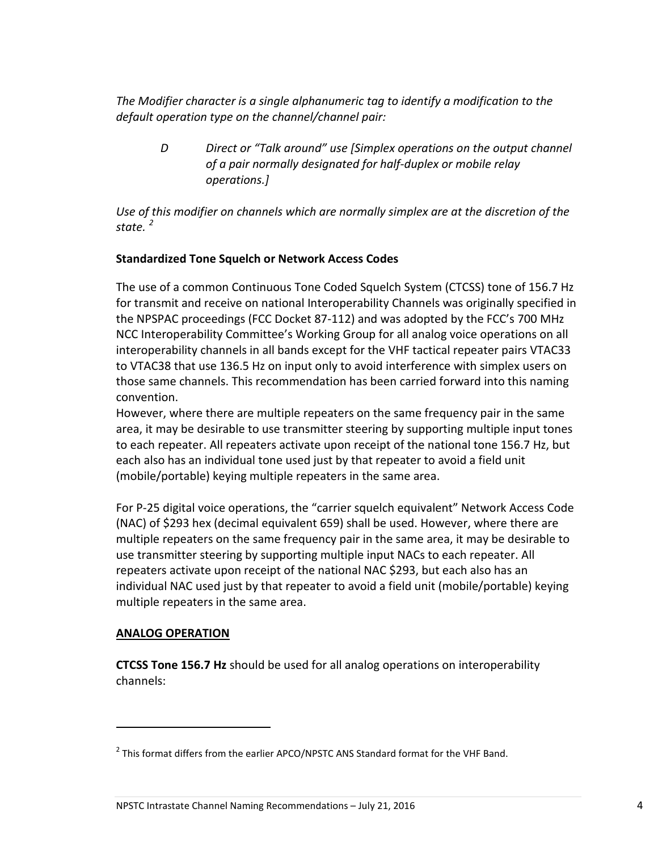*The Modifier character is a single alphanumeric tag to identify a modification to the default operation type on the channel/channel pair:*

*D Direct or "Talk around" use [Simplex operations on the output channel of a pair normally designated for half-duplex or mobile relay operations.]* 

*Use of this modifier on channels which are normally simplex are at the discretion of the state. [2](#page-5-2)*

# <span id="page-5-0"></span>**Standardized Tone Squelch or Network Access Codes**

The use of a common Continuous Tone Coded Squelch System (CTCSS) tone of 156.7 Hz for transmit and receive on national Interoperability Channels was originally specified in the NPSPAC proceedings (FCC Docket 87-112) and was adopted by the FCC's 700 MHz NCC Interoperability Committee's Working Group for all analog voice operations on all interoperability channels in all bands except for the VHF tactical repeater pairs VTAC33 to VTAC38 that use 136.5 Hz on input only to avoid interference with simplex users on those same channels. This recommendation has been carried forward into this naming convention.

However, where there are multiple repeaters on the same frequency pair in the same area, it may be desirable to use transmitter steering by supporting multiple input tones to each repeater. All repeaters activate upon receipt of the national tone 156.7 Hz, but each also has an individual tone used just by that repeater to avoid a field unit (mobile/portable) keying multiple repeaters in the same area.

For P-25 digital voice operations, the "carrier squelch equivalent" Network Access Code (NAC) of \$293 hex (decimal equivalent 659) shall be used. However, where there are multiple repeaters on the same frequency pair in the same area, it may be desirable to use transmitter steering by supporting multiple input NACs to each repeater. All repeaters activate upon receipt of the national NAC \$293, but each also has an individual NAC used just by that repeater to avoid a field unit (mobile/portable) keying multiple repeaters in the same area.

# <span id="page-5-1"></span>**ANALOG OPERATION**

 $\overline{\phantom{a}}$ 

**CTCSS Tone 156.7 Hz** should be used for all analog operations on interoperability channels:

<span id="page-5-2"></span><sup>&</sup>lt;sup>2</sup> This format differs from the earlier APCO/NPSTC ANS Standard format for the VHF Band.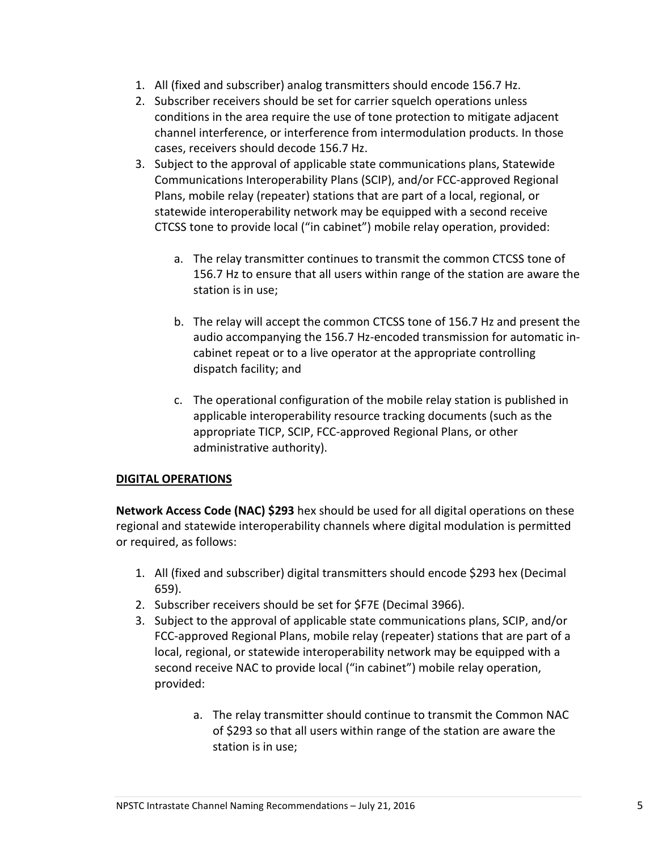- 1. All (fixed and subscriber) analog transmitters should encode 156.7 Hz.
- 2. Subscriber receivers should be set for carrier squelch operations unless conditions in the area require the use of tone protection to mitigate adjacent channel interference, or interference from intermodulation products. In those cases, receivers should decode 156.7 Hz.
- 3. Subject to the approval of applicable state communications plans, Statewide Communications Interoperability Plans (SCIP), and/or FCC-approved Regional Plans, mobile relay (repeater) stations that are part of a local, regional, or statewide interoperability network may be equipped with a second receive CTCSS tone to provide local ("in cabinet") mobile relay operation, provided:
	- a. The relay transmitter continues to transmit the common CTCSS tone of 156.7 Hz to ensure that all users within range of the station are aware the station is in use;
	- b. The relay will accept the common CTCSS tone of 156.7 Hz and present the audio accompanying the 156.7 Hz-encoded transmission for automatic incabinet repeat or to a live operator at the appropriate controlling dispatch facility; and
	- c. The operational configuration of the mobile relay station is published in applicable interoperability resource tracking documents (such as the appropriate TICP, SCIP, FCC-approved Regional Plans, or other administrative authority).

# <span id="page-6-0"></span>**DIGITAL OPERATIONS**

**Network Access Code (NAC) \$293** hex should be used for all digital operations on these regional and statewide interoperability channels where digital modulation is permitted or required, as follows:

- 1. All (fixed and subscriber) digital transmitters should encode \$293 hex (Decimal 659).
- 2. Subscriber receivers should be set for \$F7E (Decimal 3966).
- 3. Subject to the approval of applicable state communications plans, SCIP, and/or FCC-approved Regional Plans, mobile relay (repeater) stations that are part of a local, regional, or statewide interoperability network may be equipped with a second receive NAC to provide local ("in cabinet") mobile relay operation, provided:
	- a. The relay transmitter should continue to transmit the Common NAC of \$293 so that all users within range of the station are aware the station is in use;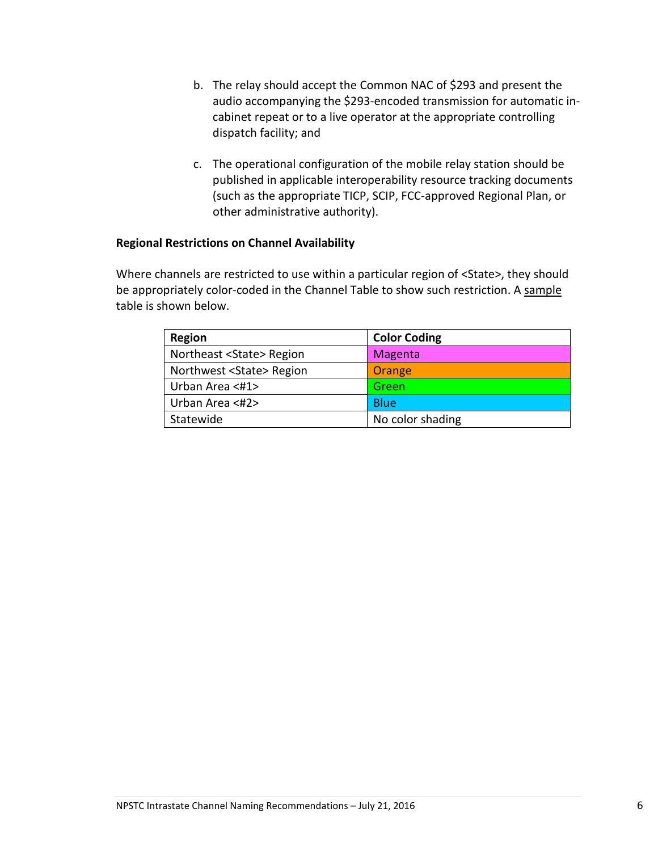- b. The relay should accept the Common NAC of \$293 and present the audio accompanying the \$293-encoded transmission for automatic incabinet repeat or to a live operator at the appropriate controlling dispatch facility; and
- c. The operational configuration of the mobile relay station should be published in applicable interoperability resource tracking documents (such as the appropriate TICP, SCIP, FCC-approved Regional Plan, or other administrative authority).

# <span id="page-7-0"></span>**Regional Restrictions on Channel Availability**

Where channels are restricted to use within a particular region of <State>, they should be appropriately color-coded in the Channel Table to show such restriction. A sample table is shown below.

| Region                           | <b>Color Coding</b> |
|----------------------------------|---------------------|
| Northeast <state> Region</state> | Magenta             |
| Northwest <state> Region</state> | Orange              |
| Urban Area <#1>                  | Green               |
| Urban Area <#2>                  | <b>Blue</b>         |
| Statewide                        | No color shading    |